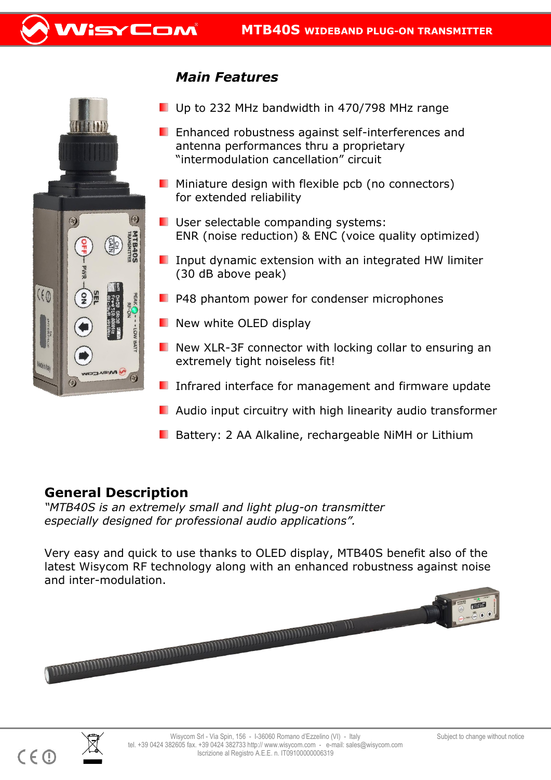



## *Main Features*

- Up to 232 MHz bandwidth in 470/798 MHz range
- **E** Enhanced robustness against self-interferences and antenna performances thru a proprietary "intermodulation cancellation" circuit
- **Miniature design with flexible pcb (no connectors)** for extended reliability
- **U** User selectable companding systems: ENR (noise reduction) & ENC (voice quality optimized)
- **I** Input dynamic extension with an integrated HW limiter (30 dB above peak)
- $\blacksquare$  P48 phantom power for condenser microphones
- $\blacksquare$  New white OLED display
- New XLR-3F connector with locking collar to ensuring an extremely tight noiseless fit!
- **I** Infrared interface for management and firmware update
- **Audio input circuitry with high linearity audio transformer**
- **B** Battery: 2 AA Alkaline, rechargeable NiMH or Lithium

## **General Description**

*"MTB40S is an extremely small and light plug-on transmitter especially designed for professional audio applications".* 

Very easy and quick to use thanks to OLED display, MTB40S benefit also of the latest Wisycom RF technology along with an enhanced robustness against noise and inter-modulation.





I.

 $C \in \mathbb{O}$